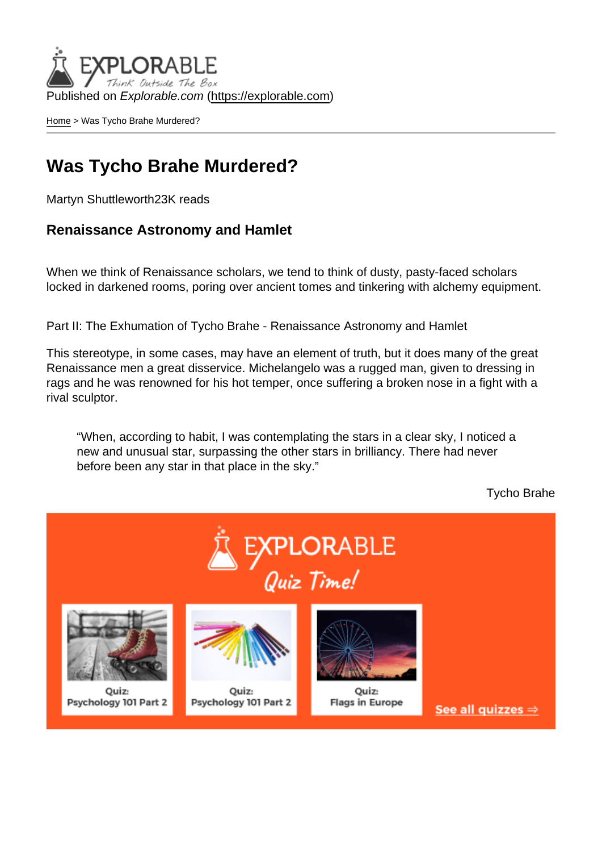Published on Explorable.com (<https://explorable.com>)

[Home](https://explorable.com/) > Was Tycho Brahe Murdered?

#### Was Tycho Brahe Murdered?

Martyn Shuttleworth23K reads

Renaissance Astronomy and Hamlet

When we think of Renaissance scholars, we tend to think of dusty, pasty-faced scholars locked in darkened rooms, poring over ancient tomes and tinkering with alchemy equipment.

Part II: The Exhumation of Tycho Brahe - Renaissance Astronomy and Hamlet

This stereotype, in some cases, may have an element of truth, but it does many of the great Renaissance men a great disservice. Michelangelo was a rugged man, given to dressing in rags and he was renowned for his hot temper, once suffering a broken nose in a fight with a rival sculptor.

"When, according to habit, I was contemplating the stars in a clear sky, I noticed a new and unusual star, surpassing the other stars in brilliancy. There had never before been any star in that place in the sky."

Tycho Brahe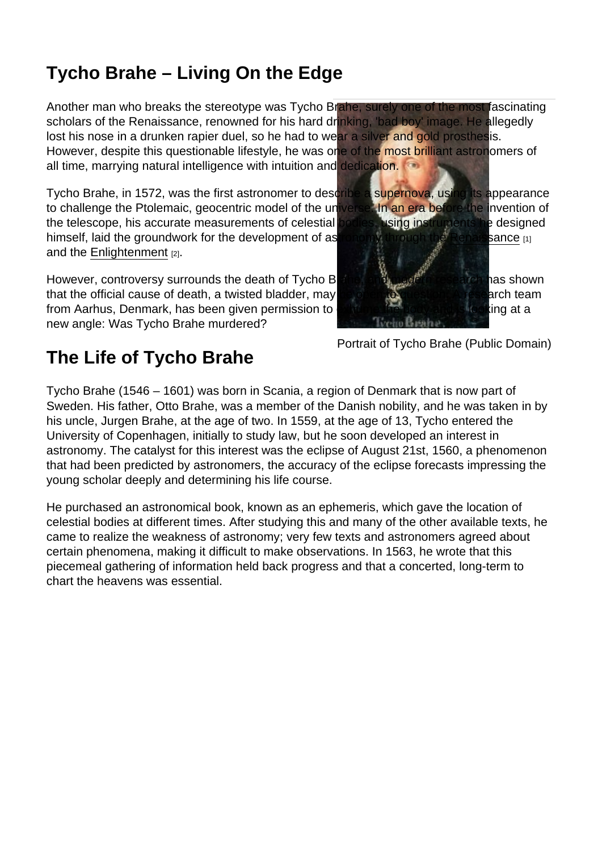# Tycho Brahe – Living On the Edge

Another man who breaks the stereotype was Tycho Brahe, surely one of the most fascinating scholars of the Renaissance, renowned for his hard drinking, 'bad boy' image. He allegedly lost his nose in a drunken rapier duel, so he had to wear a silver and gold prosthesis. However, despite this questionable lifestyle, he was one of the most brilliant astronomers of all time, marrying natural intelligence with intuition and dedication.

Tycho Brahe, in 1572, was the first astronomer to describe a supernova, using its appearance to challenge the Ptolemaic, geocentric model of the universe. In an era before the invention of the telescope, his accurate measurements of celestial bodies, using instruments he designed himself, laid the groundwork for the development of astronomy through the [Renaissance](https://explorable.com/renaissance-science) [1] and the [Enlightenment](https://explorable.com/science-and-enlightenment) [2].

However, controversy surrounds the death of Tycho Brahe, and modern research has shown that the official cause of death, a twisted bladder, may be open to question. A research team from Aarhus, Denmark, has been given permission to exhume the body and is looking at a new angle: Was Tycho Brahe murdered?

Portrait of Tycho Brahe (Public Domain)

## The Life of Tycho Brahe

Tycho Brahe (1546 – 1601) was born in Scania, a region of Denmark that is now part of Sweden. His father, Otto Brahe, was a member of the Danish nobility, and he was taken in by his uncle, Jurgen Brahe, at the age of two. In 1559, at the age of 13, Tycho entered the University of Copenhagen, initially to study law, but he soon developed an interest in astronomy. The catalyst for this interest was the eclipse of August 21st, 1560, a phenomenon that had been predicted by astronomers, the accuracy of the eclipse forecasts impressing the young scholar deeply and determining his life course.

He purchased an astronomical book, known as an ephemeris, which gave the location of celestial bodies at different times. After studying this and many of the other available texts, he came to realize the weakness of astronomy; very few texts and astronomers agreed about certain phenomena, making it difficult to make observations. In 1563, he wrote that this piecemeal gathering of information held back progress and that a concerted, long-term to chart the heavens was essential.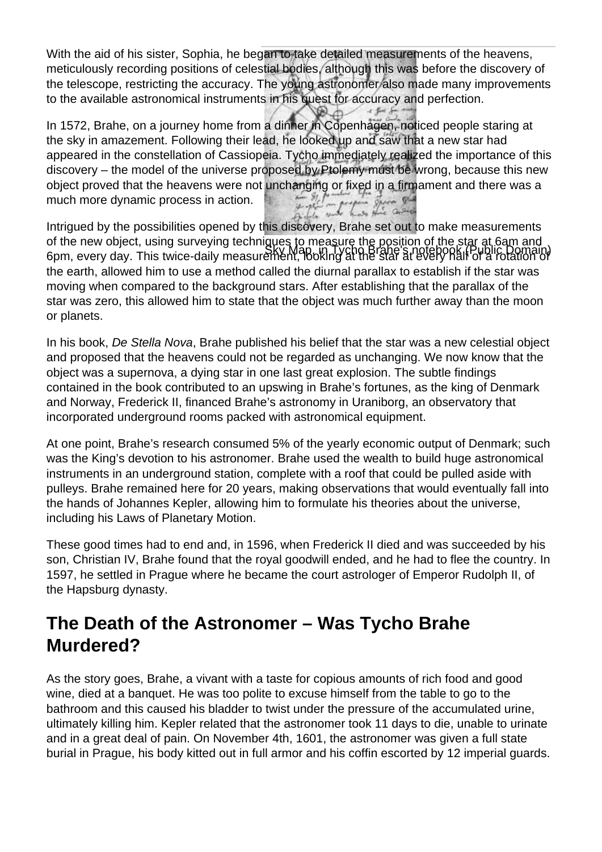With the aid of his sister, Sophia, he began to take detailed measurements of the heavens, meticulously recording positions of celestial bodies, although this was before the discovery of the telescope, restricting the accuracy. The young astronomer also made many improvements to the available astronomical instruments in his quest for accuracy and perfection.

In 1572, Brahe, on a journey home from a dinner in Copenhagen, noticed people staring at the sky in amazement. Following their lead, he looked up and saw that a new star had appeared in the constellation of Cassiopeia. Tycho immediately realized the importance of this discovery – the model of the universe proposed by Ptolemy must be wrong, because this new object proved that the heavens were not unchanging or fixed in a firmament and there was a<br>much more dynamic process in action. much more dynamic process in action.

Sky Map, in Tycho Brahe's notebook (Public Domain) Intrigued by the possibilities opened by this discovery, Brahe set out to make measurements of the new object, using surveying techniques to measure the position of the star at 6am and 6pm, every day. This twice-daily measurement, looking at the star at every half of a rotation of the earth, allowed him to use a method called the diurnal parallax to establish if the star was moving when compared to the background stars. After establishing that the parallax of the star was zero, this allowed him to state that the object was much further away than the moon or planets.

In his book, De Stella Nova, Brahe published his belief that the star was a new celestial object and proposed that the heavens could not be regarded as unchanging. We now know that the object was a supernova, a dying star in one last great explosion. The subtle findings contained in the book contributed to an upswing in Brahe's fortunes, as the king of Denmark and Norway, Frederick II, financed Brahe's astronomy in Uraniborg, an observatory that incorporated underground rooms packed with astronomical equipment.

At one point, Brahe's research consumed 5% of the yearly economic output of Denmark; such was the King's devotion to his astronomer. Brahe used the wealth to build huge astronomical instruments in an underground station, complete with a roof that could be pulled aside with pulleys. Brahe remained here for 20 years, making observations that would eventually fall into the hands of Johannes Kepler, allowing him to formulate his theories about the universe, including his Laws of Planetary Motion.

These good times had to end and, in 1596, when Frederick II died and was succeeded by his son, Christian IV, Brahe found that the royal goodwill ended, and he had to flee the country. In 1597, he settled in Prague where he became the court astrologer of Emperor Rudolph II, of the Hapsburg dynasty.

### **The Death of the Astronomer – Was Tycho Brahe Murdered?**

As the story goes, Brahe, a vivant with a taste for copious amounts of rich food and good wine, died at a banquet. He was too polite to excuse himself from the table to go to the bathroom and this caused his bladder to twist under the pressure of the accumulated urine, ultimately killing him. Kepler related that the astronomer took 11 days to die, unable to urinate and in a great deal of pain. On November 4th, 1601, the astronomer was given a full state burial in Prague, his body kitted out in full armor and his coffin escorted by 12 imperial guards.